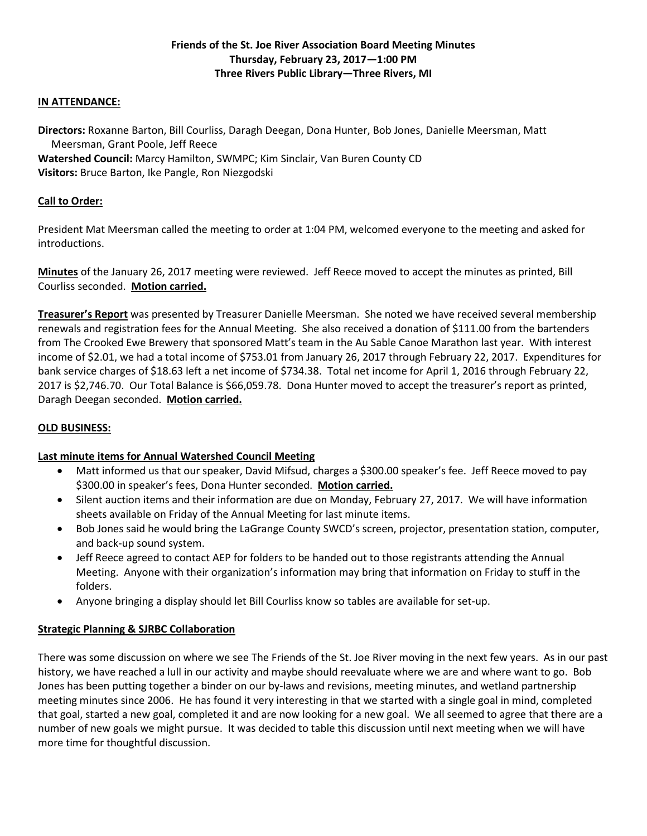# **Friends of the St. Joe River Association Board Meeting Minutes Thursday, February 23, 2017—1:00 PM Three Rivers Public Library—Three Rivers, MI**

### **IN ATTENDANCE:**

**Directors:** Roxanne Barton, Bill Courliss, Daragh Deegan, Dona Hunter, Bob Jones, Danielle Meersman, Matt Meersman, Grant Poole, Jeff Reece

**Watershed Council:** Marcy Hamilton, SWMPC; Kim Sinclair, Van Buren County CD **Visitors:** Bruce Barton, Ike Pangle, Ron Niezgodski

### **Call to Order:**

President Mat Meersman called the meeting to order at 1:04 PM, welcomed everyone to the meeting and asked for introductions.

**Minutes** of the January 26, 2017 meeting were reviewed. Jeff Reece moved to accept the minutes as printed, Bill Courliss seconded. **Motion carried.**

**Treasurer's Report** was presented by Treasurer Danielle Meersman. She noted we have received several membership renewals and registration fees for the Annual Meeting. She also received a donation of \$111.00 from the bartenders from The Crooked Ewe Brewery that sponsored Matt's team in the Au Sable Canoe Marathon last year. With interest income of \$2.01, we had a total income of \$753.01 from January 26, 2017 through February 22, 2017. Expenditures for bank service charges of \$18.63 left a net income of \$734.38. Total net income for April 1, 2016 through February 22, 2017 is \$2,746.70. Our Total Balance is \$66,059.78. Dona Hunter moved to accept the treasurer's report as printed, Daragh Deegan seconded. **Motion carried.**

# **OLD BUSINESS:**

# **Last minute items for Annual Watershed Council Meeting**

- Matt informed us that our speaker, David Mifsud, charges a \$300.00 speaker's fee. Jeff Reece moved to pay \$300.00 in speaker's fees, Dona Hunter seconded. **Motion carried.**
- Silent auction items and their information are due on Monday, February 27, 2017. We will have information sheets available on Friday of the Annual Meeting for last minute items.
- Bob Jones said he would bring the LaGrange County SWCD's screen, projector, presentation station, computer, and back-up sound system.
- Jeff Reece agreed to contact AEP for folders to be handed out to those registrants attending the Annual Meeting. Anyone with their organization's information may bring that information on Friday to stuff in the folders.
- Anyone bringing a display should let Bill Courliss know so tables are available for set-up.

# **Strategic Planning & SJRBC Collaboration**

There was some discussion on where we see The Friends of the St. Joe River moving in the next few years. As in our past history, we have reached a lull in our activity and maybe should reevaluate where we are and where want to go. Bob Jones has been putting together a binder on our by-laws and revisions, meeting minutes, and wetland partnership meeting minutes since 2006. He has found it very interesting in that we started with a single goal in mind, completed that goal, started a new goal, completed it and are now looking for a new goal. We all seemed to agree that there are a number of new goals we might pursue. It was decided to table this discussion until next meeting when we will have more time for thoughtful discussion.